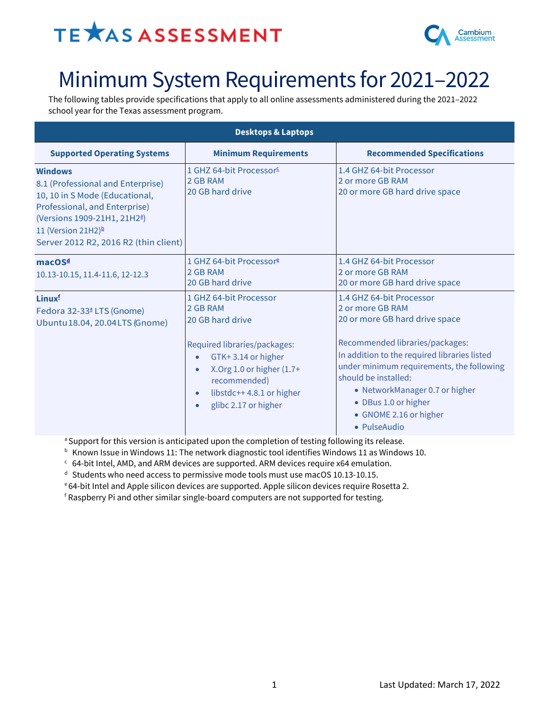## TE **XAS ASSESSMENT**



### Minimum System Requirements for 2021–2022

The following tables provide specifications that apply to all online assessments administered during the 2021–2022 school year for the Texas assessment program.

| <b>Desktops &amp; Laptops</b>                                                                                                                                                                                                                 |                                                                                                                                                                                                                                                                      |                                                                                                                                                                                                                                                                                                                                            |  |
|-----------------------------------------------------------------------------------------------------------------------------------------------------------------------------------------------------------------------------------------------|----------------------------------------------------------------------------------------------------------------------------------------------------------------------------------------------------------------------------------------------------------------------|--------------------------------------------------------------------------------------------------------------------------------------------------------------------------------------------------------------------------------------------------------------------------------------------------------------------------------------------|--|
| <b>Supported Operating Systems</b>                                                                                                                                                                                                            | <b>Minimum Requirements</b>                                                                                                                                                                                                                                          | <b>Recommended Specifications</b>                                                                                                                                                                                                                                                                                                          |  |
| <b>Windows</b><br>8.1 (Professional and Enterprise)<br>10, 10 in S Mode (Educational,<br>Professional, and Enterprise)<br>(Versions 1909-21H1, 21H2 <sup>a</sup> )<br>11 (Version 21H2) <sup>b</sup><br>Server 2012 R2, 2016 R2 (thin client) | 1 GHZ 64-bit Processor <sup>c</sup><br>2 GB RAM<br>20 GB hard drive                                                                                                                                                                                                  | 1.4 GHZ 64-bit Processor<br>2 or more GB RAM<br>20 or more GB hard drive space                                                                                                                                                                                                                                                             |  |
| macOS <sup>d</sup><br>10.13-10.15, 11.4-11.6, 12-12.3                                                                                                                                                                                         | 1 GHZ 64-bit Processor <sup>e</sup><br>2 GB RAM<br>20 GB hard drive                                                                                                                                                                                                  | 1.4 GHZ 64-bit Processor<br>2 or more GB RAM<br>20 or more GB hard drive space                                                                                                                                                                                                                                                             |  |
| Linux <sup>f</sup><br>Fedora 32-33ª LTS (Gnome)<br>Ubuntu 18.04, 20.04 LTS (Gnome)                                                                                                                                                            | 1 GHZ 64-bit Processor<br>2 GB RAM<br>20 GB hard drive<br>Required libraries/packages:<br>GTK+3.14 or higher<br>$\bullet$<br>X.Org 1.0 or higher $(1.7 +$<br>$\bullet$<br>recommended)<br>libstdc++4.8.1 or higher<br>$\bullet$<br>glibc 2.17 or higher<br>$\bullet$ | 1.4 GHZ 64-bit Processor<br>2 or more GB RAM<br>20 or more GB hard drive space<br>Recommended libraries/packages:<br>In addition to the required libraries listed<br>under minimum requirements, the following<br>should be installed:<br>• NetworkManager 0.7 or higher<br>• DBus 1.0 or higher<br>• GNOME 2.16 or higher<br>• PulseAudio |  |

<sup>a</sup> Support for this version is anticipated upon the completion of testing following its release.

 $<sup>b</sup>$  Known Issue in Windows 11: The network diagnostic tool identifies Windows 11 as Windows 10.</sup>

 $c$  64-bit Intel, AMD, and ARM devices are supported. ARM devices require x64 emulation.

<sup>d</sup> Students who need access to permissive mode tools must use macOS 10.13-10.15.

e 64-bit Intel and Apple silicon devices are supported. Apple silicon devices require Rosetta 2.

<sup>f</sup> Raspberry Pi and other similar single-board computers are not supported for testing.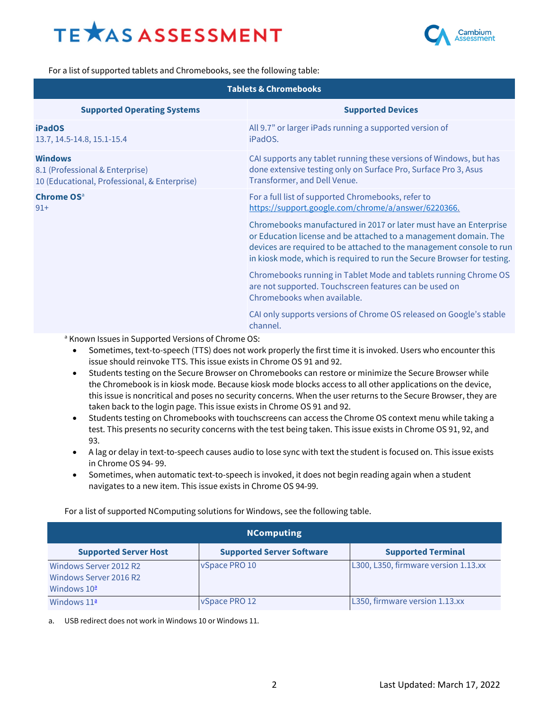# **TEXAS ASSESSMENT**



For a list of supported tablets and Chromebooks, see the following table:

| <b>Tablets &amp; Chromebooks</b>                                                                  |                                                                                                                                                                                                                                                                                          |  |
|---------------------------------------------------------------------------------------------------|------------------------------------------------------------------------------------------------------------------------------------------------------------------------------------------------------------------------------------------------------------------------------------------|--|
| <b>Supported Operating Systems</b>                                                                | <b>Supported Devices</b>                                                                                                                                                                                                                                                                 |  |
| <b>iPadOS</b><br>13.7, 14.5-14.8, 15.1-15.4                                                       | All 9.7" or larger iPads running a supported version of<br>iPadOS.                                                                                                                                                                                                                       |  |
| <b>Windows</b><br>8.1 (Professional & Enterprise)<br>10 (Educational, Professional, & Enterprise) | CAI supports any tablet running these versions of Windows, but has<br>done extensive testing only on Surface Pro, Surface Pro 3, Asus<br>Transformer, and Dell Venue.                                                                                                                    |  |
| <b>Chrome OS</b> <sup>a</sup><br>$91+$                                                            | For a full list of supported Chromebooks, refer to<br>https://support.google.com/chrome/a/answer/6220366.                                                                                                                                                                                |  |
|                                                                                                   | Chromebooks manufactured in 2017 or later must have an Enterprise<br>or Education license and be attached to a management domain. The<br>devices are required to be attached to the management console to run<br>in kiosk mode, which is required to run the Secure Browser for testing. |  |
|                                                                                                   | Chromebooks running in Tablet Mode and tablets running Chrome OS<br>are not supported. Touchscreen features can be used on<br>Chromebooks when available.                                                                                                                                |  |
|                                                                                                   | CAI only supports versions of Chrome OS released on Google's stable<br>channel.                                                                                                                                                                                                          |  |
| <sup>a</sup> Known Issues in Supported Versions of Chrome OS:                                     |                                                                                                                                                                                                                                                                                          |  |

- Sometimes, text-to-speech (TTS) does not work properly the first time it is invoked. Users who encounter this issue should reinvoke TTS. This issue exists in Chrome OS 91 and 92.
- Students testing on the Secure Browser on Chromebooks can restore or minimize the Secure Browser while the Chromebook is in kiosk mode. Because kiosk mode blocks access to all other applications on the device, this issue is noncritical and poses no security concerns. When the user returns to the Secure Browser, they are taken back to the login page. This issue exists in Chrome OS 91 and 92.
- Students testing on Chromebooks with touchscreens can access the Chrome OS context menu while taking a test. This presents no security concerns with the test being taken. This issue exists in Chrome OS 91, 92, and 93.
- A lag or delay in text-to-speech causes audio to lose sync with text the student is focused on. This issue exists in Chrome OS 94- 99.
- Sometimes, when automatic text-to-speech is invoked, it does not begin reading again when a student navigates to a new item. This issue exists in Chrome OS 94-99.

For a list of supported NComputing solutions for Windows, see the following table.

| <b>NComputing</b>                                                              |                                  |                                      |  |
|--------------------------------------------------------------------------------|----------------------------------|--------------------------------------|--|
| <b>Supported Server Host</b>                                                   | <b>Supported Server Software</b> | <b>Supported Terminal</b>            |  |
| Windows Server 2012 R2<br>Windows Server 2016 R2<br>Windows $10^{\frac{a}{2}}$ | vSpace PRO 10                    | L300, L350, firmware version 1.13.xx |  |
| Windows $11^{\underline{a}}$                                                   | vSpace PRO 12                    | L350, firmware version 1.13.xx       |  |

<span id="page-1-0"></span>a. USB redirect does not work in Windows 10 or Windows 11.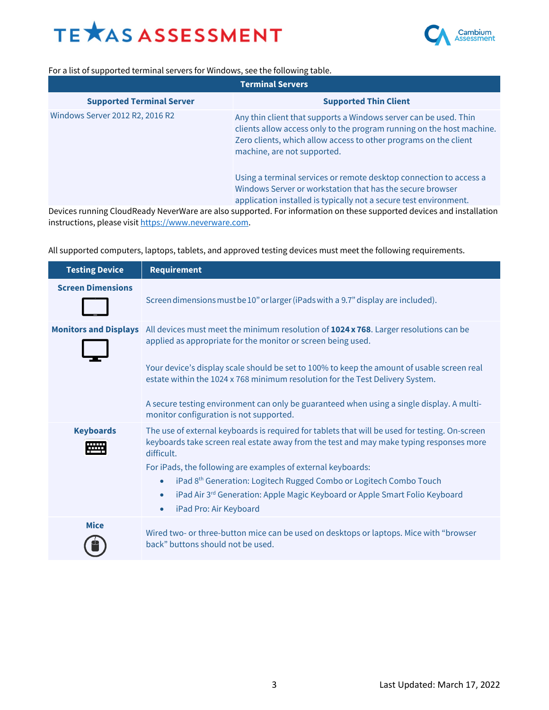



For a list of supported terminal servers for Windows, see the following table.

| <b>Terminal Servers</b>          |                                                                                                                                                                                                                                              |  |
|----------------------------------|----------------------------------------------------------------------------------------------------------------------------------------------------------------------------------------------------------------------------------------------|--|
| <b>Supported Terminal Server</b> | <b>Supported Thin Client</b>                                                                                                                                                                                                                 |  |
| Windows Server 2012 R2, 2016 R2  | Any thin client that supports a Windows server can be used. Thin<br>clients allow access only to the program running on the host machine.<br>Zero clients, which allow access to other programs on the client<br>machine, are not supported. |  |
|                                  | Using a terminal services or remote desktop connection to access a<br>Windows Server or workstation that has the secure browser<br>application installed is typically not a secure test environment.                                         |  |

Devices running CloudReady NeverWare are also supported. For information on these supported devices and installation instructions, please visit [https://www.neverware.com](https://www.neverware.com/).

All supported computers, laptops, tablets, and approved testing devices must meet the following requirements.

| <b>Testing Device</b>    | <b>Requirement</b>                                                                                                                                                                                                                                                                                                                                                                                                                                                                                                    |
|--------------------------|-----------------------------------------------------------------------------------------------------------------------------------------------------------------------------------------------------------------------------------------------------------------------------------------------------------------------------------------------------------------------------------------------------------------------------------------------------------------------------------------------------------------------|
| <b>Screen Dimensions</b> | Screen dimensions must be 10" or larger (iPads with a 9.7" display are included).                                                                                                                                                                                                                                                                                                                                                                                                                                     |
|                          | Monitors and Displays All devices must meet the minimum resolution of 1024 x 768. Larger resolutions can be<br>applied as appropriate for the monitor or screen being used.<br>Your device's display scale should be set to 100% to keep the amount of usable screen real<br>estate within the 1024 x 768 minimum resolution for the Test Delivery System.<br>A secure testing environment can only be guaranteed when using a single display. A multi-<br>monitor configuration is not supported.                    |
| <b>Keyboards</b><br>₩    | The use of external keyboards is required for tablets that will be used for testing. On-screen<br>keyboards take screen real estate away from the test and may make typing responses more<br>difficult.<br>For iPads, the following are examples of external keyboards:<br>iPad 8 <sup>th</sup> Generation: Logitech Rugged Combo or Logitech Combo Touch<br>$\bullet$<br>iPad Air 3 <sup>rd</sup> Generation: Apple Magic Keyboard or Apple Smart Folio Keyboard<br>$\bullet$<br>iPad Pro: Air Keyboard<br>$\bullet$ |
| <b>Mice</b>              | Wired two- or three-button mice can be used on desktops or laptops. Mice with "browser<br>back" buttons should not be used.                                                                                                                                                                                                                                                                                                                                                                                           |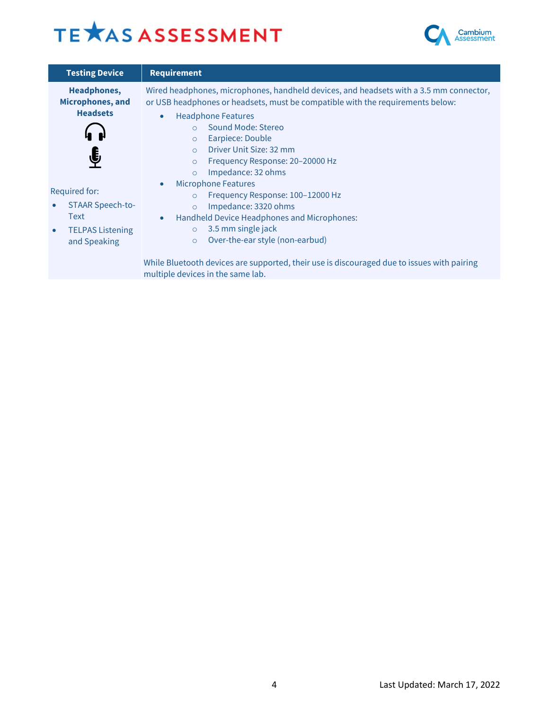# TE XAS ASSESSMENT



| <b>Testing Device</b>                                                                                           | <b>Requirement</b>                                                                                                                                                                                                                                                                                                                                                                                      |
|-----------------------------------------------------------------------------------------------------------------|---------------------------------------------------------------------------------------------------------------------------------------------------------------------------------------------------------------------------------------------------------------------------------------------------------------------------------------------------------------------------------------------------------|
| <b>Headphones,</b><br>Microphones, and<br><b>Headsets</b><br>€                                                  | Wired headphones, microphones, handheld devices, and headsets with a 3.5 mm connector,<br>or USB headphones or headsets, must be compatible with the requirements below:<br><b>Headphone Features</b><br>$\bullet$<br>Sound Mode: Stereo<br>Earpiece: Double<br>$\circ$<br>Driver Unit Size: 32 mm<br>$\Omega$<br>Frequency Response: 20-20000 Hz<br>$\circ$<br>Impedance: 32 ohms<br>$\circ$           |
| <b>Required for:</b><br><b>STAAR Speech-to-</b><br>Text<br><b>TELPAS Listening</b><br>$\bullet$<br>and Speaking | <b>Microphone Features</b><br>$\bullet$<br>Frequency Response: 100-12000 Hz<br>$\circ$<br>Impedance: 3320 ohms<br>$\circ$<br>Handheld Device Headphones and Microphones:<br>$\bullet$<br>3.5 mm single jack<br>$\circ$<br>Over-the-ear style (non-earbud)<br>$\circ$<br>While Bluetooth devices are supported, their use is discouraged due to issues with pairing<br>multiple devices in the same lab. |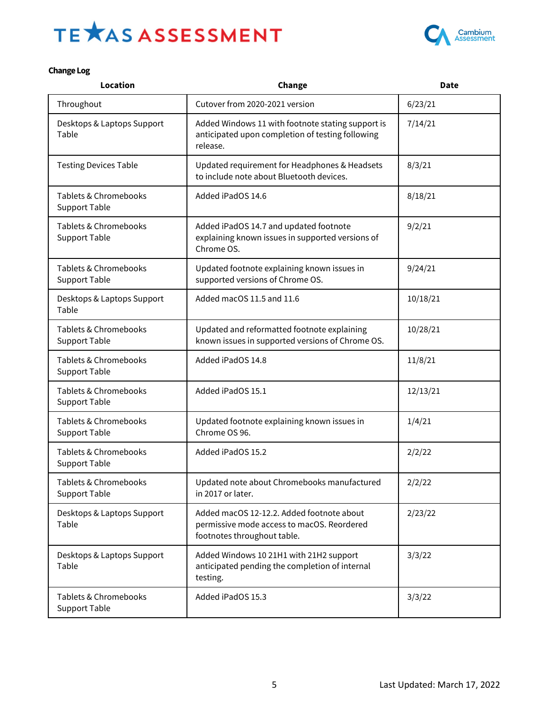# TE XAS ASSESSMENT



#### **Change Log**

| <b>Location</b>                               | Change                                                                                                                 | <b>Date</b> |
|-----------------------------------------------|------------------------------------------------------------------------------------------------------------------------|-------------|
| Throughout                                    | Cutover from 2020-2021 version                                                                                         | 6/23/21     |
| Desktops & Laptops Support<br>Table           | Added Windows 11 with footnote stating support is<br>anticipated upon completion of testing following<br>release.      | 7/14/21     |
| <b>Testing Devices Table</b>                  | Updated requirement for Headphones & Headsets<br>to include note about Bluetooth devices.                              | 8/3/21      |
| Tablets & Chromebooks<br><b>Support Table</b> | Added iPadOS 14.6                                                                                                      | 8/18/21     |
| Tablets & Chromebooks<br><b>Support Table</b> | Added iPadOS 14.7 and updated footnote<br>explaining known issues in supported versions of<br>Chrome OS.               | 9/2/21      |
| Tablets & Chromebooks<br><b>Support Table</b> | Updated footnote explaining known issues in<br>supported versions of Chrome OS.                                        | 9/24/21     |
| Desktops & Laptops Support<br>Table           | Added macOS 11.5 and 11.6                                                                                              | 10/18/21    |
| Tablets & Chromebooks<br><b>Support Table</b> | Updated and reformatted footnote explaining<br>known issues in supported versions of Chrome OS.                        | 10/28/21    |
| Tablets & Chromebooks<br><b>Support Table</b> | Added iPadOS 14.8                                                                                                      | 11/8/21     |
| Tablets & Chromebooks<br><b>Support Table</b> | Added iPadOS 15.1                                                                                                      | 12/13/21    |
| Tablets & Chromebooks<br><b>Support Table</b> | Updated footnote explaining known issues in<br>Chrome OS 96.                                                           | 1/4/21      |
| Tablets & Chromebooks<br><b>Support Table</b> | Added iPadOS 15.2                                                                                                      | 2/2/22      |
| Tablets & Chromebooks<br><b>Support Table</b> | Updated note about Chromebooks manufactured<br>in 2017 or later.                                                       | 2/2/22      |
| Desktops & Laptops Support<br>Table           | Added macOS 12-12.2. Added footnote about<br>permissive mode access to macOS. Reordered<br>footnotes throughout table. | 2/23/22     |
| Desktops & Laptops Support<br>Table           | Added Windows 10 21H1 with 21H2 support<br>anticipated pending the completion of internal<br>testing.                  | 3/3/22      |
| Tablets & Chromebooks<br><b>Support Table</b> | Added iPadOS 15.3                                                                                                      | 3/3/22      |